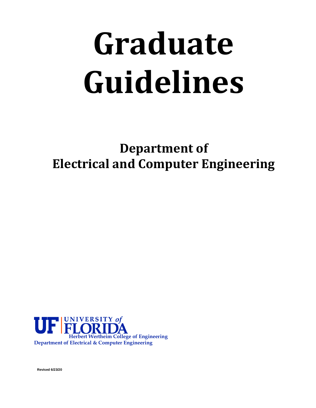# **Graduate Guidelines**

**Department of Electrical and Computer Engineering**



**Revised 6/23/20**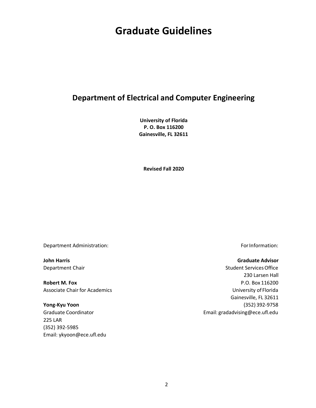# **Graduate Guidelines**

# **Department of Electrical and Computer Engineering**

**University of Florida P. O. Box 116200 Gainesville, FL 32611**

**Revised Fall 2020**

Department Administration: example and the properties of the ForInformation:

**Robert M. Fox** P.O. Box 116200 Associate Chair for Academics **No. 2018** Chair for Academics **University of Florida** 

225 LAR (352) 392-5985 Email: ykyoon@ece.ufl.edu

#### **John Harris Graduate Advisor**

Department Chair Student Services Office 230 Larsen Hall Gainesville, FL 32611 **Yong-Kyu Yoon** (352) 392‐9758 Graduate Coordinator **Email:** [gradadvising@ece.ufl.edu](mailto:gradadvising@ece.ufl.edu)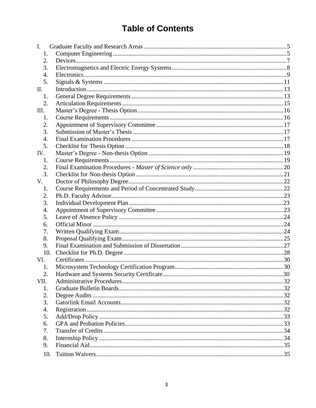# **Table of Contents**

| Ι.   |  |
|------|--|
| 1.   |  |
| 2.   |  |
| 3.   |  |
| 4.   |  |
| 5.   |  |
| II.  |  |
| 1.   |  |
| 2.   |  |
| Ш.   |  |
| 1.   |  |
| 2.   |  |
| 3.   |  |
| 4.   |  |
| 5.   |  |
| IV.  |  |
| 1.   |  |
| 2.   |  |
| 3.   |  |
| V.   |  |
| 1.   |  |
| 2.   |  |
| 3.   |  |
| 4.   |  |
| 5.   |  |
| 6.   |  |
| 7.   |  |
| 8.   |  |
| 9.   |  |
| 10.  |  |
| VI.  |  |
| 1.   |  |
| 2.   |  |
| VII. |  |
| 1.   |  |
| 2.   |  |
| 3.   |  |
| 4.   |  |
| 5.   |  |
| 6.   |  |
| 7.   |  |
| 8.   |  |
| 9.   |  |
| 10.  |  |
|      |  |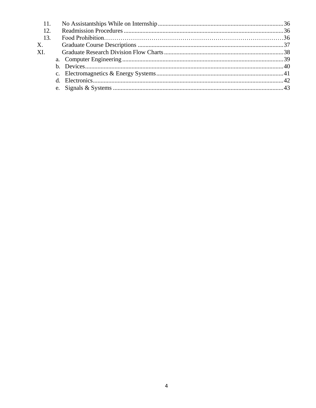| 11. |  |  |
|-----|--|--|
| 12. |  |  |
| 13. |  |  |
| X.  |  |  |
| XI. |  |  |
|     |  |  |
|     |  |  |
|     |  |  |
|     |  |  |
|     |  |  |
|     |  |  |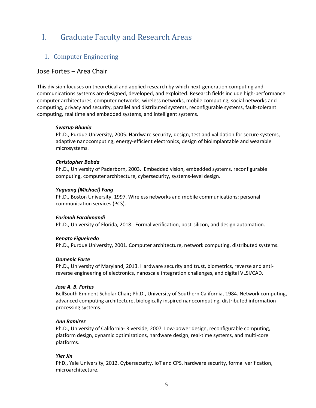# <span id="page-4-0"></span>I. Graduate Faculty and Research Areas

## 1. Computer Engineering

## <span id="page-4-1"></span>Jose Fortes – Area Chair

This division focuses on theoretical and applied research by which next-generation computing and communications systems are designed, developed, and exploited. Research fields include high‐performance computer architectures, computer networks, wireless networks, mobile computing, social networks and computing, privacy and security, parallel and distributed systems, reconfigurable systems, fault-tolerant computing, real time and embedded systems, and intelligent systems.

#### *Swarup Bhunia*

Ph.D., Purdue University, 2005. Hardware security, design, test and validation for secure systems, adaptive nanocomputing, energy‐efficient electronics, design of bioimplantable and wearable microsystems.

#### *Christopher Bobda*

Ph.D., University of Paderborn, 2003. Embedded vision, embedded systems, reconfigurable computing, computer architecture, cybersecurity, systems-level design.

#### *Yuguang (Michael) Fang*

Ph.D., Boston University, 1997. Wireless networks and mobile communications; personal communication services (PCS).

#### *Farimah Farahmandi*

Ph.D., University of Florida, 2018. Formal verification, post-silicon, and design automation.

#### *Renato Figueiredo*

Ph.D., Purdue University, 2001. Computer architecture, network computing, distributed systems.

#### *Domenic Forte*

Ph.D., University of Maryland, 2013. Hardware security and trust, biometrics, reverse and anti‐ reverse engineering of electronics, nanoscale integration challenges, and digital VLSI/CAD.

#### *Jose A. B. Fortes*

BellSouth Eminent Scholar Chair; Ph.D., University of Southern California, 1984. Network computing, advanced computing architecture, biologically inspired nanocomputing, distributed information processing systems.

#### *Ann Ramirez*

Ph.D., University of California‐ Riverside, 2007. Low‐power design, reconfigurable computing, platform design, dynamic optimizations, hardware design, real‐time systems, and multi‐core platforms.

#### *Yier Jin*

PhD., Yale University, 2012. Cybersecurity, IoT and CPS, hardware security, formal verification, microarchitecture.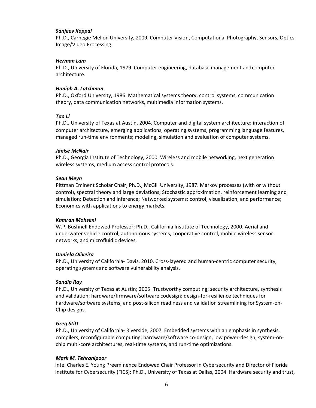#### *Sanjeev Koppal*

Ph.D., Carnegie Mellon University, 2009. Computer Vision, Computational Photography, Sensors, Optics, Image/Video Processing.

#### *Herman Lam*

Ph.D., University of Florida, 1979. Computer engineering, database management andcomputer architecture.

#### *Haniph A. Latchman*

Ph.D., Oxford University, 1986. Mathematical systems theory, control systems, communication theory, data communication networks, multimedia information systems.

#### *Tao Li*

Ph.D., University of Texas at Austin, 2004. Computer and digital system architecture; interaction of computer architecture, emerging applications, operating systems, programming language features, managed run‐time environments; modeling, simulation and evaluation of computer systems.

#### *Janise McNair*

Ph.D., Georgia Institute of Technology, 2000. Wireless and mobile networking, next generation wireless systems, medium access control protocols.

#### *Sean Meyn*

Pittman Eminent Scholar Chair; Ph.D., McGill University, 1987. Markov processes (with or without control), spectral theory and large deviations; Stochastic approximation, reinforcement learning and simulation; Detection and inference; Networked systems: control, visualization, and performance; Economics with applications to energy markets.

#### *Kamran Mohseni*

W.P. Bushnell Endowed Professor; Ph.D., California Institute of Technology, 2000. Aerial and underwater vehicle control, autonomous systems, cooperative control, mobile wireless sensor networks, and microfluidic devices.

#### *Daniela Oliveira*

Ph.D., University of California‐ Davis, 2010. Cross‐layered and human‐centric computer security, operating systems and software vulnerability analysis.

#### *Sandip Ray*

Ph.D., University of Texas at Austin; 2005. Trustworthy computing; security architecture, synthesis and validation; hardware/firmware/software codesign; design-for-resilience techniques for hardware/software systems; and post-silicon readiness and validation streamlining for System-on-Chip designs.

#### *Greg Stitt*

Ph.D., University of California‐ Riverside, 2007. Embedded systems with an emphasis in synthesis, compilers, reconfigurable computing, hardware/software co-design, low power-design, system-onchip multi‐core architectures, real‐time systems, and run‐time optimizations.

#### *Mark M. Tehranipoor*

Intel Charles E. Young Preeminence Endowed Chair Professor in Cybersecurity and Director of Florida Institute for Cybersecurity (FICS); Ph.D., University of Texas at Dallas, 2004. Hardware security and trust,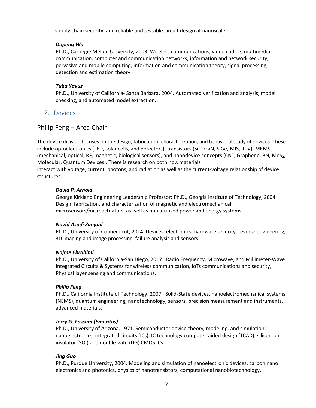supply chain security, and reliable and testable circuit design at nanoscale.

#### *Dapeng Wu*

Ph.D., Carnegie Mellon University, 2003. Wireless communications, video coding, multimedia communication, computer and communication networks, information and network security, pervasive and mobile computing, information and communication theory, signal processing, detection and estimation theory.

#### *Tuba Yavuz*

Ph.D., University of California‐ Santa Barbara, 2004. Automated verification and analysis, model checking, and automated model extraction.

#### <span id="page-6-0"></span>2. Devices

#### Philip Feng – Area Chair

The device division focuses on the design, fabrication, characterization, and behavioral study of devices. These include optoelectronics (LED, solar cells, and detectors), transistors (SiC, GaN, SiGe, MIS, III‐V), MEMS (mechanical, optical, RF, magnetic, biological sensors), and nanodevice concepts (CNT, Graphene, BN, MoS<sub>2</sub>, Molecular, Quantum Devices). There is research on both howmaterials interact with voltage, current, photons, and radiation as well as the current-voltage relationship of device structures.

#### *David P. Arnold*

George Kirkland Engineering Leadership Professor; Ph.D., Georgia Institute of Technology, 2004. Design, fabrication, and characterization of magnetic and electromechanical microsensors/microactuators, as well as miniaturized power and energy systems.

#### *Navid Asadi Zanjani*

Ph.D., University of Connecticut, 2014. Devices, electronics, hardware security, reverse engineering, 3D imaging and image processing, failure analysis and sensors.

#### *Najme Ebrahimi*

Ph.D., University of California-San Diego, 2017. Radio Frequency, Microwave, and Millimeter-Wave Integrated Circuits & Systems for wireless communication, IoTs communications and security, Physical layer sensing and communications.

#### *Philip Feng*

Ph.D., California Institute of Technology, 2007. Solid-State devices, nanoelectromechanical systems (NEMS), quantum engineering, nanotechnology, sensors, precision measurement and instruments, advanced materials.

#### *Jerry G. Fossum (Emeritus)*

Ph.D., University of Arizona, 1971. Semiconductor device theory, modeling, and simulation; nanoelectronics, integrated circuits (ICs), IC technology computer‐aided design (TCAD); silicon‐on‐ insulator (SOI) and double‐gate (DG) CMOS ICs.

#### *Jing Guo*

Ph.D., Purdue University, 2004. Modeling and simulation of nanoelectronic devices, carbon nano electronics and photonics, physics of nanotransistors, computational nanobiotechnology.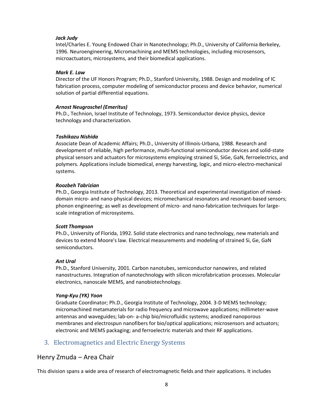#### *Jack Judy*

Intel/Charles E. Young Endowed Chair in Nanotechnology; Ph.D., University of California Berkeley, 1996. Neuroengineering, Micromachining and MEMS technologies, including microsensors, microactuators, microsystems, and their biomedical applications.

#### *Mark E. Law*

Director of the UF Honors Program; Ph.D., Stanford University, 1988. Design and modeling of IC fabrication process, computer modeling of semiconductor process and device behavior, numerical solution of partial differential equations.

#### *Arnost Neugroschel (Emeritus)*

Ph.D., Technion, Israel Institute of Technology, 1973. Semiconductor device physics, device technology and characterization.

#### *Toshikazu Nishida*

Associate Dean of Academic Affairs; Ph.D., University of Illinois‐Urbana, 1988. Research and development of reliable, high performance, multi‐functional semiconductor devices and solid‐state physical sensors and actuators for microsystems employing strained Si, SiGe, GaN, ferroelectrics, and polymers. Applications include biomedical, energy harvesting, logic, and micro‐electro‐mechanical systems.

#### *Roozbeh Tabrizian*

Ph.D., Georgia Institute of Technology, 2013. Theoretical and experimental investigation of mixed‐ domain micro- and nano-physical devices; micromechanical resonators and resonant-based sensors; phonon engineering; as well as development of micro‐ and nano‐fabrication techniques for large‐ scale integration of microsystems.

#### *Scott Thompson*

Ph.D., University of Florida, 1992. Solid state electronics and nano technology, new materials and devices to extend Moore's law. Electrical measurements and modeling of strained Si, Ge, GaN semiconductors.

#### *Ant Ural*

Ph.D., Stanford University, 2001. Carbon nanotubes, semiconductor nanowires, and related nanostructures. Integration of nanotechnology with silicon microfabrication processes. Molecular electronics, nanoscale MEMS, and nanobiotechnology.

#### *Yong‐Kyu (YK) Yoon*

Graduate Coordinator; Ph.D., Georgia Institute of Technology, 2004. 3‐D MEMS technology; micromachined metamaterials for radio frequency and microwave applications; millimeter‐wave antennas and waveguides; lab‐on‐ a‐chip bio/microfluidic systems; anodized nanoporous membranes and electrospun nanofibers for bio/optical applications; microsensors and actuators; electronic and MEMS packaging; and ferroelectric materials and their RF applications.

# <span id="page-7-0"></span>3. Electromagnetics and Electric Energy Systems

## Henry Zmuda – Area Chair

This division spans a wide area of research of electromagnetic fields and their applications. It includes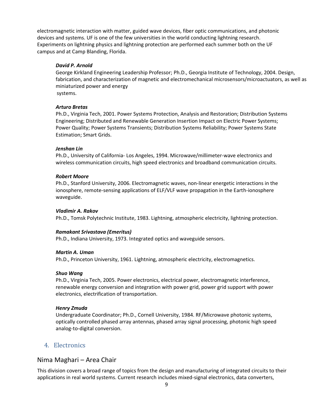electromagnetic interaction with matter, guided wave devices, fiber optic communications, and photonic devices and systems. UF is one of the few universities in the world conducting lightning research. Experiments on lightning physics and lightning protection are performed each summer both on the UF campus and at Camp Blanding, Florida.

#### *David P. Arnold*

George Kirkland Engineering Leadership Professor; Ph.D., Georgia Institute of Technology, 2004. Design, fabrication, and characterization of magnetic and electromechanical microsensors/microactuators, as well as miniaturized power and energy systems.

#### *Arturo Bretas*

Ph.D., Virginia Tech, 2001. Power Systems Protection, Analysis and Restoration; Distribution Systems Engineering; Distributed and Renewable Generation Insertion Impact on Electric Power Systems; Power Quality; Power Systems Transients; Distribution Systems Reliability; Power Systems State Estimation; Smart Grids.

#### *Jenshan Lin*

Ph.D., University of California‐ Los Angeles, 1994. Microwave/millimeter‐wave electronics and wireless communication circuits, high speed electronics and broadband communication circuits.

#### *Robert Moore*

Ph.D., Stanford University, 2006. Electromagnetic waves, non‐linear energetic interactions in the ionosphere, remote‐sensing applications of ELF/VLF wave propagation in the Earth‐ionosphere waveguide.

#### *Vladimir A. Rakov*

Ph.D., Tomsk Polytechnic Institute, 1983. Lightning, atmospheric electricity, lightning protection.

#### *Ramakant Srivastava (Emeritus)*

Ph.D., Indiana University, 1973. Integrated optics and waveguide sensors.

#### *Martin A. Uman*

Ph.D., Princeton University, 1961. Lightning, atmospheric electricity, electromagnetics.

#### *Shuo Wang*

Ph.D., Virginia Tech, 2005. Power electronics, electrical power, electromagnetic interference, renewable energy conversion and integration with power grid, power grid support with power electronics, electrification of transportation.

#### *Henry Zmuda*

Undergraduate Coordinator; Ph.D., Cornell University, 1984. RF/Microwave photonic systems, optically controlled phased array antennas, phased array signal processing, photonic high speed analog‐to‐digital conversion.

## 4. Electronics

## <span id="page-8-0"></span>Nima Maghari – Area Chair

This division covers a broad range of topics from the design and manufacturing of integrated circuits to their applications in real world systems. Current research includes mixed‐signal electronics, data converters,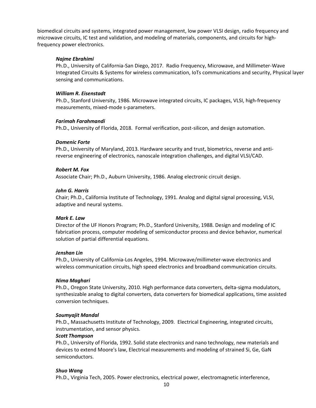biomedical circuits and systems, integrated power management, low power VLSI design, radio frequency and microwave circuits, IC test and validation, and modeling of materials, components, and circuits for high‐ frequency power electronics.

#### *Najme Ebrahimi*

Ph.D., University of California-San Diego, 2017. Radio Frequency, Microwave, and Millimeter-Wave Integrated Circuits & Systems for wireless communication, IoTs communications and security, Physical layer sensing and communications.

#### *William R. Eisenstadt*

Ph.D., Stanford University, 1986. Microwave integrated circuits, IC packages, VLSI, high‐frequency measurements, mixed‐mode s‐parameters.

#### *Farimah Farahmandi*

Ph.D., University of Florida, 2018. Formal verification, post-silicon, and design automation.

#### *Domenic Forte*

Ph.D., University of Maryland, 2013. Hardware security and trust, biometrics, reverse and anti‐ reverse engineering of electronics, nanoscale integration challenges, and digital VLSI/CAD.

#### *Robert M. Fox*

Associate Chair; Ph.D., Auburn University, 1986. Analog electronic circuit design.

#### *John G. Harris*

Chair; Ph.D., California Institute of Technology, 1991. Analog and digital signal processing, VLSI, adaptive and neural systems.

#### *Mark E. Law*

Director of the UF Honors Program; Ph.D., Stanford University, 1988. Design and modeling of IC fabrication process, computer modeling of semiconductor process and device behavior, numerical solution of partial differential equations.

#### *Jenshan Lin*

Ph.D., University of California‐Los Angeles, 1994. Microwave/millimeter‐wave electronics and wireless communication circuits, high speed electronics and broadband communication circuits.

#### *Nima Maghari*

Ph.D., Oregon State University, 2010. High performance data converters, delta‐sigma modulators, synthesizable analog to digital converters, data converters for biomedical applications, time assisted conversion techniques.

#### *Soumyajit Mandal*

Ph.D., Massachusetts Institute of Technology, 2009. Electrical Engineering, integrated circuits, instrumentation, and sensor physics.

#### *Scott Thompson*

Ph.D., University of Florida, 1992. Solid state electronics and nano technology, new materials and devices to extend Moore's law, Electrical measurements and modeling of strained Si, Ge, GaN semiconductors.

#### *Shuo Wang*

Ph.D., Virginia Tech, 2005. Power electronics, electrical power, electromagnetic interference,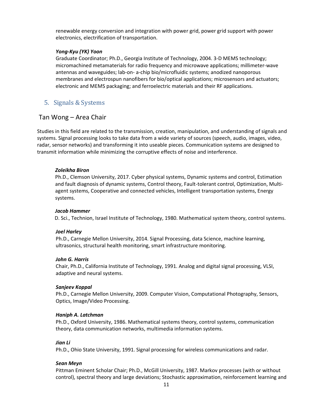renewable energy conversion and integration with power grid, power grid support with power electronics, electrification of transportation.

#### *Yong‐Kyu (YK) Yoon*

Graduate Coordinator; Ph.D., Georgia Institute of Technology, 2004. 3‐D MEMS technology; micromachined metamaterials for radio frequency and microwave applications; millimeter‐wave antennas and waveguides; lab‐on‐ a‐chip bio/microfluidic systems; anodized nanoporous membranes and electrospun nanofibers for bio/optical applications; microsensors and actuators; electronic and MEMS packaging; and ferroelectric materials and their RF applications.

## 5. Signals & Systems

## Tan Wong – Area Chair

Studies in this field are related to the transmission, creation, manipulation, and understanding of signals and systems. Signal processing looks to take data from a wide variety of sources (speech, audio, images, video, radar, sensor networks) and transforming it into useable pieces. Communication systems are designed to transmit information while minimizing the corruptive effects of noise and interference.

#### *Zoleikha Biron*

Ph.D., Clemson University, 2017. Cyber physical systems, Dynamic systems and control, Estimation and fault diagnosis of dynamic systems, Control theory, Fault-tolerant control, Optimization, Multiagent systems, Cooperative and connected vehicles, Intelligent transportation systems, Energy systems.

#### *Jacob Hammer*

D. Sci., Technion, Israel Institute of Technology, 1980. Mathematical system theory, control systems.

#### *Joel Harley*

Ph.D., Carnegie Mellon University, 2014. Signal Processing, data Science, machine learning, ultrasonics, structural health monitoring, smart infrastructure monitoring.

#### *John G. Harris*

Chair, Ph.D., California Institute of Technology, 1991. Analog and digital signal processing, VLSI, adaptive and neural systems.

#### *Sanjeev Koppal*

Ph.D., Carnegie Mellon University, 2009. Computer Vision, Computational Photography, Sensors, Optics, Image/Video Processing.

#### <span id="page-10-0"></span>*Haniph A. Latchman*

Ph.D., Oxford University, 1986. Mathematical systems theory, control systems, communication theory, data communication networks, multimedia information systems.

#### *Jian Li*

Ph.D., Ohio State University, 1991. Signal processing for wireless communications and radar.

#### *Sean Meyn*

Pittman Eminent Scholar Chair; Ph.D., McGill University, 1987. Markov processes (with or without control), spectral theory and large deviations; Stochastic approximation, reinforcement learning and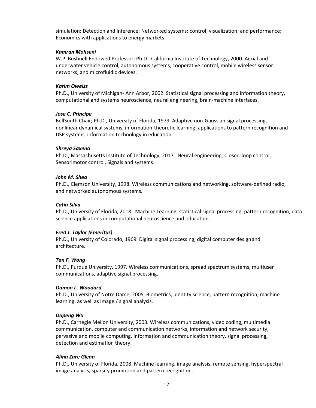simulation; Detection and inference; Networked systems: control, visualization, and performance; Economics with applications to energy markets.

#### *Kamran Mohseni*

W.P. Bushnell Endowed Professor; Ph.D., California Institute of Technology, 2000. Aerial and underwater vehicle control, autonomous systems, cooperative control, mobile wireless sensor networks, and microfluidic devices.

#### *Karim Oweiss*

Ph.D., University of Michigan‐ Ann Arbor, 2002. Statistical signal processing and information theory, computational and systems neuroscience, neural engineering, brain‐machine interfaces.

#### *Jose C. Principe*

BellSouth Chair; Ph.D., University of Florida, 1979. Adaptive non‐Gaussian signal processing, nonlinear dynamical systems, information‐theoretic learning, applications to pattern recognition and DSP systems, information technology in education.

#### *Shreya Saxena*

Ph.D., Massachusetts Institute of Technology, 2017. Neural engineering, Closed-loop control, Sensorimotor control, Signals and systems.

#### *John M. Shea*

Ph.D., Clemson University, 1998. Wireless communications and networking, software‐defined radio, and networked autonomous systems.

#### *Catia Silva*

Ph.D., University of Florida, 2018. Machine Learning, statistical signal processing, pattern recognition, data science applications in computational neuroscience and education.

#### *Fred J. Taylor (Emeritus)*

Ph.D., University of Colorado, 1969. Digital signal processing, digital computer designand architecture.

#### *Tan F. Wong*

Ph.D., Purdue University, 1997. Wireless communications, spread spectrum systems, multiuser communications, adaptive signal processing.

#### *Damon L. Woodard*

Ph.D., University of Notre Dame, 2005. Biometrics, identity science, pattern recognition, machine learning, as well as image / signal analysis.

#### *Dapeng Wu*

Ph.D., Carnegie Mellon University, 2003. Wireless communications, video coding, multimedia communication, computer and communication networks, information and network security, pervasive and mobile computing, information and communication theory, signal processing, detection and estimation theory.

#### *Alina Zare Glenn*

Ph.D., University of Florida, 2008. Machine learning, image analysis, remote sensing, hyperspectral image analysis, sparsity promotion and pattern recognition.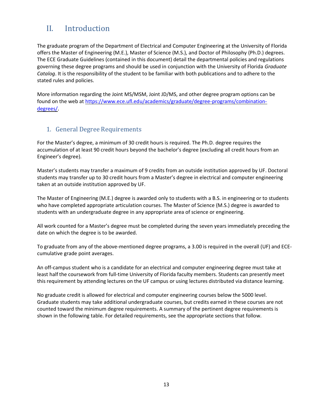# <span id="page-12-0"></span>II. Introduction

The graduate program of the Department of Electrical and Computer Engineering at the University of Florida offers the Master of Engineering (M.E.), Master of Science (M.S.), and Doctor of Philosophy (Ph.D.) degrees. The ECE Graduate Guidelines (contained in this document) detail the departmental policies and regulations governing these degree programs and should be used in conjunction with the University of Florida *Graduate Catalog*. It is the responsibility of the student to be familiar with both publications and to adhere to the stated rules and policies.

More information regarding the Joint MS/MSM, Joint JD/MS, and other degree program options can be found on the web at [https://www.ece.ufl.edu/academics/graduate/degree-programs/combination](https://www.ece.ufl.edu/academics/graduate/degree-programs/combination-degrees/)[degrees/](https://www.ece.ufl.edu/academics/graduate/degree-programs/combination-degrees/).

# <span id="page-12-1"></span>1. General Degree Requirements

For the Master's degree, a minimum of 30 credit hours is required. The Ph.D. degree requires the accumulation of at least 90 credit hours beyond the bachelor's degree (excluding all credit hours from an Engineer's degree).

Master's students may transfer a maximum of 9 credits from an outside institution approved by UF. Doctoral students may transfer up to 30 credit hours from a Master's degree in electrical and computer engineering taken at an outside institution approved by UF.

The Master of Engineering (M.E.) degree is awarded only to students with a B.S. in engineering or to students who have completed appropriate articulation courses. The Master of Science (M.S.) degree is awarded to students with an undergraduate degree in any appropriate area of science or engineering.

All work counted for a Master's degree must be completed during the seven years immediately preceding the date on which the degree is to be awarded.

To graduate from any of the above-mentioned degree programs, a 3.00 is required in the overall (UF) and ECEcumulative grade point averages.

An off‐campus student who is a candidate for an electrical and computer engineering degree must take at least half the coursework from full‐time University of Florida faculty members. Students can presently meet this requirement by attending lectures on the UF campus or using lectures distributed via distance learning.

No graduate credit is allowed for electrical and computer engineering courses below the 5000 level. Graduate students may take additional undergraduate courses, but credits earned in these courses are not counted toward the minimum degree requirements. A summary of the pertinent degree requirements is shown in the following table. For detailed requirements, see the appropriate sections that follow.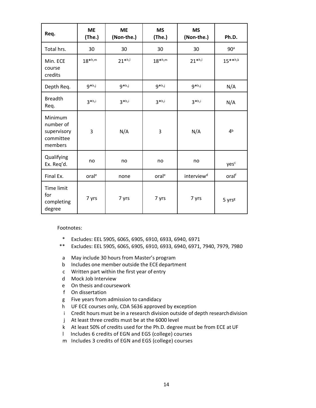| Req.                                                        | <b>ME</b><br>(The.) | <b>ME</b><br>(Non-the.) | <b>MS</b><br>(The.) | <b>MS</b><br>(Non-the.) | Ph.D.              |
|-------------------------------------------------------------|---------------------|-------------------------|---------------------|-------------------------|--------------------|
| Total hrs.                                                  | 30                  | 30                      | 30                  | 30                      | 90 <sup>a</sup>    |
| Min. ECE<br>course<br>credits                               | $18^{*h,m}$         | $21$ *h,l               | $18^{*h,m}$         | $21$ *h,l               | $15***h,k$         |
| Depth Req.                                                  | $9 * h, j$          | $9 * h, j$              | $9 * h, j$          | $9 * h, j$              | N/A                |
| <b>Breadth</b><br>Req.                                      | $3*h,i$             | $3 * h, i$              | $3*h, i$            | $3*h,i$                 | N/A                |
| Minimum<br>number of<br>supervisory<br>committee<br>members | 3                   | N/A                     | 3                   | N/A                     | 4 <sup>b</sup>     |
| Qualifying<br>Ex. Req'd.                                    | no                  | no                      | no                  | no                      | yesc               |
| Final Ex.                                                   | oral <sup>e</sup>   | none                    | oral <sup>e</sup>   | interview <sup>d</sup>  | oralf              |
| Time limit<br>for<br>completing<br>degree                   | 7 yrs               | 7 yrs                   | 7 yrs               | 7 yrs                   | 5 yrs <sup>g</sup> |

Footnotes:

- \* Excludes: EEL 5905, 6065, 6905, 6910, 6933, 6940, 6971
- \*\* Excludes: EEL 5905, 6065, 6905, 6910, 6933, 6940, 6971, 7940, 7979, 7980
- a May include 30 hours from Master's program
- b Includes one member outside the ECE department
- c Written part within the first year of entry
- d Mock Job Interview
- e On thesis and coursework
- f On dissertation
- g Five years from admission to candidacy
- h UF ECE courses only, CDA 5636 approved by exception
- i Credit hours must be in a research division outside of depth researchdivision
- j At least three credits must be at the 6000 level
- k At least 50% of credits used for the Ph.D. degree must be from ECE at UF
- l Includes 6 credits of EGN and EGS (college) courses
- m Includes 3 credits of EGN and EGS (college) courses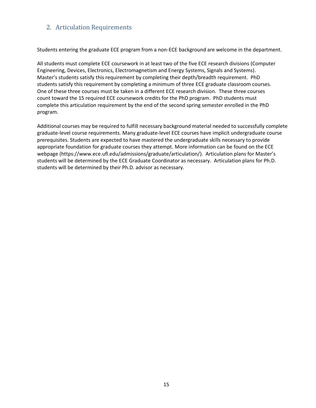# <span id="page-14-0"></span>2. Articulation Requirements

Students entering the graduate ECE program from a non‐ECE background are welcome in the department.

All students must complete ECE coursework in at least two of the five ECE research divisions (Computer Engineering, Devices, Electronics, Electromagnetism and Energy Systems, Signals and Systems). Master's students satisfy this requirement by completing their depth/breadth requirement. PhD students satisfy this requirement by completing a minimum of three ECE graduate classroom courses. One of these three courses must be taken in a different ECE research division. These three courses count toward the 15 required ECE coursework credits for the PhD program. PhD students must complete this articulation requirement by the end of the second spring semester enrolled in the PhD program.

Additional courses may be required to fulfill necessary background material needed to successfully complete graduate‐level course requirements. Many graduate‐level ECE courses have implicit undergraduate course prerequisites. Students are expected to have mastered the undergraduate skills necessary to provide appropriate foundation for graduate courses they attempt. More information can be found on the ECE webpage (https://www.ece.ufl.edu/admissions/graduate/articulation/). Articulation plans for Master's students will be determined by the ECE Graduate Coordinator as necessary. Articulation plans for Ph.D. students will be determined by their Ph.D. advisor as necessary.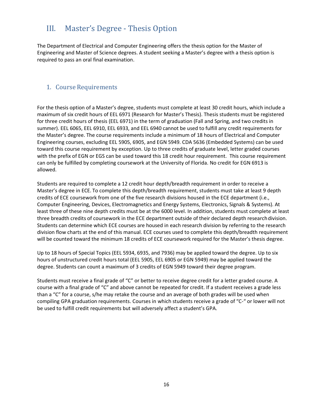# <span id="page-15-0"></span>III. Master's Degree ‐ Thesis Option

The Department of Electrical and Computer Engineering offers the thesis option for the Master of Engineering and Master of Science degrees. A student seeking a Master's degree with a thesis option is required to pass an oral final examination.

# <span id="page-15-1"></span>1. Course Requirements

For the thesis option of a Master's degree, students must complete at least 30 credit hours, which include a maximum of six credit hours of EEL 6971 (Research for Master's Thesis). Thesis students must be registered for three credit hours of thesis (EEL 6971) in the term of graduation (Fall and Spring, and two credits in summer). EEL 6065, EEL 6910, EEL 6933, and EEL 6940 cannot be used to fulfill any credit requirements for the Master's degree. The course requirements include a minimum of 18 hours of Electrical and Computer Engineering courses, excluding EEL 5905, 6905, and EGN 5949. CDA 5636 (Embedded Systems) can be used toward this course requirement by exception. Up to three credits of graduate level, letter graded courses with the prefix of EGN or EGS can be used toward this 18 credit hour requirement. This course requirement can only be fulfilled by completing coursework at the University of Florida. No credit for EGN 6913 is allowed.

Students are required to complete a 12 credit hour depth/breadth requirement in order to receive a Master's degree in ECE. To complete this depth/breadth requirement, students must take at least 9 depth credits of ECE coursework from one of the five research divisions housed in the ECE department (i.e., Computer Engineering, Devices, Electromagnetics and Energy Systems, Electronics, Signals & Systems). At least three of these nine depth credits must be at the 6000 level. In addition, students must complete at least three breadth credits of coursework in the ECE department outside of their declared depth researchdivision. Students can determine which ECE courses are housed in each research division by referring to the research division flow charts at the end of this manual. ECE courses used to complete this depth/breadth requirement will be counted toward the minimum 18 credits of ECE coursework required for the Master's thesis degree.

Up to 18 hours of Special Topics (EEL 5934, 6935, and 7936) may be applied toward the degree. Up to six hours of unstructured credit hours total (EEL 5905, EEL 6905 or EGN 5949) may be applied toward the degree. Students can count a maximum of 3 credits of EGN 5949 toward their degree program.

Students must receive a final grade of "C" or better to receive degree credit for a letter graded course. A course with a final grade of "C" and above cannot be repeated for credit. If a student receives a grade less than a "C" for a course, s/he may retake the course and an average of both grades will be used when compiling GPA graduation requirements. Courses in which students receive a grade of "C‐" or lower will not be used to fulfill credit requirements but will adversely affect a student's GPA.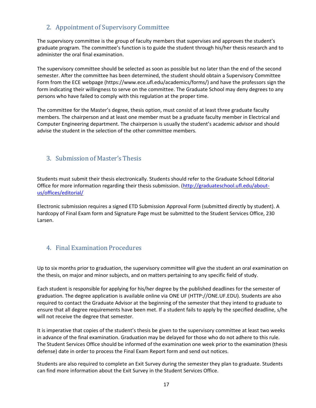# 2. Appointment of Supervisory Committee

<span id="page-16-0"></span>The supervisory committee is the group of faculty members that supervises and approves the student's graduate program. The committee's function is to guide the student through his/her thesis research and to administer the oral final examination.

The supervisory committee should be selected as soon as possible but no later than the end of the second semester. After the committee has been determined, the student should obtain a Supervisory Committee Form from the ECE webpage (https://www.ece.ufl.edu/academics/forms/) and have the professors sign the form indicating their willingness to serve on the committee. The Graduate School may deny degrees to any persons who have failed to comply with this regulation at the proper time.

The committee for the Master's degree, thesis option, must consist of at least three graduate faculty members. The chairperson and at least one member must be a graduate faculty member in Electrical and Computer Engineering department. The chairperson is usually the student's academic advisor and should advise the student in the selection of the other committee members.

# <span id="page-16-1"></span>3. Submission of Master's Thesis

Students must submit their thesis electronically. Students should refer to the Graduate School Editorial Office for more information regarding their thesis submission. [\(http://graduateschool.ufl.edu/about](http://graduateschool.ufl.edu/about-us/offices/editorial/)[us/offices/editorial/](http://graduateschool.ufl.edu/about-us/offices/editorial/)

Electronic submission requires a signed ETD Submission Approval Form (submitted directly by student). A hardcopy of Final Exam form and Signature Page must be submitted to the Student Services Office, 230 Larsen.

# <span id="page-16-2"></span>4. Final Examination Procedures

Up to six months prior to graduation, the supervisory committee will give the student an oral examination on the thesis, on major and minor subjects, and on matters pertaining to any specific field of study.

Each student is responsible for applying for his/her degree by the published deadlines for the semester of graduation. The degree application is available online via ONE UF (HTTP://ONE.UF.EDU). Students are also required to contact the Graduate Advisor at the beginning of the semester that they intend to graduate to ensure that all degree requirements have been met. If a student fails to apply by the specified deadline, s/he will not receive the degree that semester.

It is imperative that copies of the student's thesis be given to the supervisory committee at least two weeks in advance of the final examination. Graduation may be delayed for those who do not adhere to this rule. The Student Services Office should be informed of the examination one week prior to the examination (thesis defense) date in order to process the Final Exam Report form and send out notices.

Students are also required to complete an Exit Survey during the semester they plan to graduate. Students can find more information about the Exit Survey in the Student Services Office.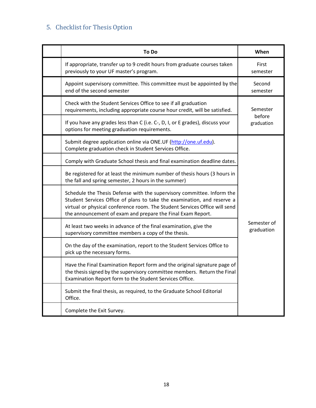# <span id="page-17-0"></span>5. Checklist for Thesis Option

| <b>To Do</b>                                                                                                                                                                                                                                                                                   | When                      |  |
|------------------------------------------------------------------------------------------------------------------------------------------------------------------------------------------------------------------------------------------------------------------------------------------------|---------------------------|--|
| If appropriate, transfer up to 9 credit hours from graduate courses taken<br>previously to your UF master's program.                                                                                                                                                                           | First<br>semester         |  |
| Appoint supervisory committee. This committee must be appointed by the<br>end of the second semester                                                                                                                                                                                           | Second<br>semester        |  |
| Check with the Student Services Office to see if all graduation<br>requirements, including appropriate course hour credit, will be satisfied.                                                                                                                                                  | Semester                  |  |
| If you have any grades less than C (i.e. C-, D, I, or E grades), discuss your<br>options for meeting graduation requirements.                                                                                                                                                                  | before<br>graduation      |  |
| Submit degree application online via ONE.UF (http://one.uf.edu).<br>Complete graduation check in Student Services Office.                                                                                                                                                                      |                           |  |
| Comply with Graduate School thesis and final examination deadline dates.                                                                                                                                                                                                                       |                           |  |
| Be registered for at least the minimum number of thesis hours (3 hours in<br>the fall and spring semester, 2 hours in the summer)                                                                                                                                                              | Semester of<br>graduation |  |
| Schedule the Thesis Defense with the supervisory committee. Inform the<br>Student Services Office of plans to take the examination, and reserve a<br>virtual or physical conference room. The Student Services Office will send<br>the announcement of exam and prepare the Final Exam Report. |                           |  |
| At least two weeks in advance of the final examination, give the<br>supervisory committee members a copy of the thesis.                                                                                                                                                                        |                           |  |
| On the day of the examination, report to the Student Services Office to<br>pick up the necessary forms.                                                                                                                                                                                        |                           |  |
| Have the Final Examination Report form and the original signature page of<br>the thesis signed by the supervisory committee members. Return the Final<br>Examination Report form to the Student Services Office.                                                                               |                           |  |
| Submit the final thesis, as required, to the Graduate School Editorial<br>Office.                                                                                                                                                                                                              |                           |  |
| Complete the Exit Survey.                                                                                                                                                                                                                                                                      |                           |  |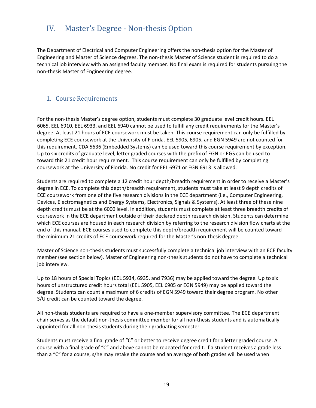# <span id="page-18-0"></span>IV. Master's Degree ‐ Non‐thesis Option

The Department of Electrical and Computer Engineering offers the non-thesis option for the Master of Engineering and Master of Science degrees. The non‐thesis Master of Science student is required to do a technical job interview with an assigned faculty member. No final exam is required for students pursuing the non‐thesis Master of Engineering degree.

# <span id="page-18-1"></span>1. Course Requirements

For the non-thesis Master's degree option, students must complete 30 graduate level credit hours. EEL 6065, EEL 6910, EEL 6933, and EEL 6940 cannot be used to fulfill any credit requirements for the Master's degree. At least 21 hours of ECE coursework must be taken. This course requirement can only be fulfilled by completing ECE coursework at the University of Florida. EEL 5905, 6905, and EGN 5949 are not counted for this requirement. CDA 5636 (Embedded Systems) can be used toward this course requirement by exception. Up to six credits of graduate level, letter graded courses with the prefix of EGN or EGS can be used to toward this 21 credit hour requirement. This course requirement can only be fulfilled by completing coursework at the University of Florida. No credit for EEL 6971 or EGN 6913 is allowed.

Students are required to complete a 12 credit hour depth/breadth requirement in order to receive a Master's degree in ECE. To complete this depth/breadth requirement, students must take at least 9 depth credits of ECE coursework from one of the five research divisions in the ECE department (i.e., Computer Engineering, Devices, Electromagnetics and Energy Systems, Electronics, Signals & Systems). At least three of these nine depth credits must be at the 6000 level. In addition, students must complete at least three breadth credits of coursework in the ECE department outside of their declared depth research division. Students can determine which ECE courses are housed in each research division by referring to the research division flow charts at the end of this manual. ECE courses used to complete this depth/breadth requirement will be counted toward the minimum 21 credits of ECE coursework required for the Master's non-thesis degree.

Master of Science non‐thesis students must successfully complete a technical job interview with an ECE faculty member (see section below). Master of Engineering non-thesis students do not have to complete a technical job interview.

Up to 18 hours of Special Topics (EEL 5934, 6935, and 7936) may be applied toward the degree. Up to six hours of unstructured credit hours total (EEL 5905, EEL 6905 or EGN 5949) may be applied toward the degree. Students can count a maximum of 6 credits of EGN 5949 toward their degree program. No other S/U credit can be counted toward the degree.

All non-thesis students are required to have a one-member supervisory committee. The ECE department chair serves as the default non-thesis committee member for all non-thesis students and is automatically appointed for all non-thesis students during their graduating semester.

Students must receive a final grade of "C" or better to receive degree credit for a letter graded course. A course with a final grade of "C" and above cannot be repeated for credit. If a student receives a grade less than a "C" for a course, s/he may retake the course and an average of both grades will be used when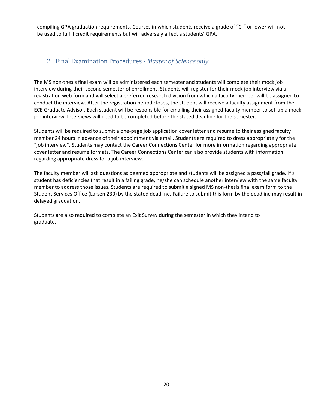compiling GPA graduation requirements. Courses in which students receive a grade of "C‐" or lower will not be used to fulfill credit requirements but will adversely affect a students' GPA.

# *2.* Final Examination Procedures ‐ *Master of Science only*

The MS non-thesis final exam will be administered each semester and students will complete their mock job interview during their second semester of enrollment. Students will register for their mock job interview via a registration web form and will select a preferred research division from which a faculty member will be assigned to conduct the interview. After the registration period closes, the student will receive a faculty assignment from the ECE Graduate Advisor. Each student will be responsible for emailing their assigned faculty member to set-up a mock job interview. Interviews will need to be completed before the stated deadline for the semester.

Students will be required to submit a one-page job application cover letter and resume to their assigned faculty member 24 hours in advance of their appointment via email. Students are required to dress appropriately for the "job interview". Students may contact the Career Connections Center for more information regarding appropriate cover letter and resume formats. The Career Connections Center can also provide students with information regarding appropriate dress for a job interview.

The faculty member will ask questions as deemed appropriate and students will be assigned a pass/fail grade. If a student has deficiencies that result in a failing grade, he/she can schedule another interview with the same faculty member to address those issues. Students are required to submit a signed MS non-thesis final exam form to the Student Services Office (Larsen 230) by the stated deadline. Failure to submit this form by the deadline may result in delayed graduation.

Students are also required to complete an Exit Survey during the semester in which they intend to graduate.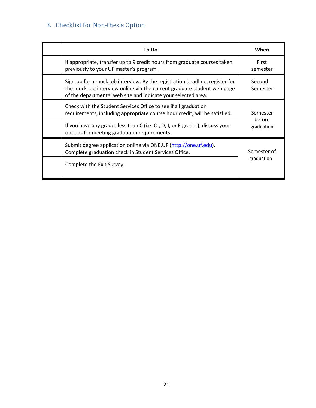# 3. Checklist for Non-thesis Option

| <b>To Do</b>                                                                                                                                                                                                             | When                             |  |
|--------------------------------------------------------------------------------------------------------------------------------------------------------------------------------------------------------------------------|----------------------------------|--|
| If appropriate, transfer up to 9 credit hours from graduate courses taken<br>previously to your UF master's program.                                                                                                     | First<br>semester                |  |
| Sign-up for a mock job interview. By the registration deadline, register for<br>the mock job interview online via the current graduate student web page<br>of the departmental web site and indicate your selected area. | Second<br>Semester               |  |
| Check with the Student Services Office to see if all graduation<br>requirements, including appropriate course hour credit, will be satisfied.                                                                            | Semester<br>before<br>graduation |  |
| If you have any grades less than C (i.e. C-, D, I, or E grades), discuss your<br>options for meeting graduation requirements.                                                                                            |                                  |  |
| Submit degree application online via ONE.UF (http://one.uf.edu).<br>Complete graduation check in Student Services Office.                                                                                                | Semester of<br>graduation        |  |
| Complete the Exit Survey.                                                                                                                                                                                                |                                  |  |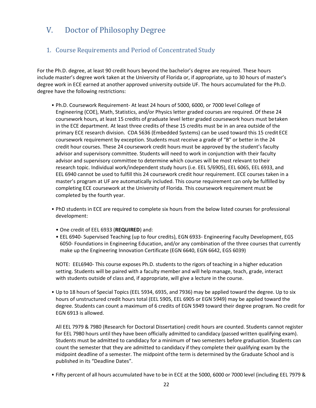# V. Doctor of Philosophy Degree

# <span id="page-21-0"></span>1. Course Requirements and Period of Concentrated Study

For the Ph.D. degree, at least 90 credit hours beyond the bachelor's degree are required. These hours include master's degree work taken at the University of Florida or, if appropriate, up to 30 hours of master's degree work in ECE earned at another approved university outside UF. The hours accumulated for the Ph.D. degree have the following restrictions:

- Ph.D. Coursework Requirement‐ At least 24 hours of 5000, 6000, or 7000 level College of Engineering (COE), Math, Statistics, and/or Physics letter graded courses are required. Of these 24 coursework hours, at least 15 credits of graduate level letter graded coursework hours must betaken in the ECE department. At least three credits of these 15 credits must be in an area outside of the primary ECE research division. CDA 5636 (Embedded Systems) can be used toward this 15 credit ECE coursework requirement by exception. Students must receive a grade of "B" or better in the 24 credit hour courses. These 24 coursework credit hours must be approved by the student's faculty advisor and supervisory committee. Students will need to work in conjunction with their faculty advisor and supervisory committee to determine which courses will be most relevant totheir research topic. Individual work/independent study hours (i.e. EEL 5/6905), EEL 6065, EEL 6933, and EEL 6940 cannot be used to fulfill this 24 coursework credit hour requirement. ECE courses taken in a master's program at UF are automatically included. This course requirement can only be fulfilled by completing ECE coursework at the University of Florida. This coursework requirement must be completed by the fourth year.
- PhD students in ECE are required to complete six hours from the below listed courses for professional development:
	- One credit of EEL 6933 (**REQUIRED**) and:
	- EEL 6940- Supervised Teaching (up to four credits), EGN 6933- Engineering Faculty Development, EGS 6050- Foundations in Engineering Education, and/or any combination of the three courses that currently make up the Engineering Innovation Certificate (EGN 6640, EGN 6642, EGS 6039)

NOTE: EEL6940- This course exposes Ph.D. students to the rigors of teaching in a higher education setting. Students will be paired with a faculty member and will help manage, teach, grade, interact with students outside of class and, if appropriate, will give a lecture in the course.

• Up to 18 hours of Special Topics (EEL 5934, 6935, and 7936) may be applied toward the degree. Up to six hours of unstructured credit hours total (EEL 5905, EEL 6905 or EGN 5949) may be applied toward the degree. Students can count a maximum of 6 credits of EGN 5949 toward their degree program. No credit for EGN 6913 is allowed.

All EEL 7979 & 7980 (Research for Doctoral Dissertation) credit hours are counted. Students cannot register for EEL 7980 hours until they have been officially admitted to candidacy (passed written qualifying exam). Students must be admitted to candidacy for a minimum of two semesters before graduation. Students can count the semester that they are admitted to candidacy if they complete their qualifying exam by the midpoint deadline of a semester. The midpoint ofthe term is determined by the Graduate School and is published in its "Deadline Dates".

• Fifty percent of all hours accumulated have to be in ECE at the 5000, 6000 or 7000 level (including EEL 7979 &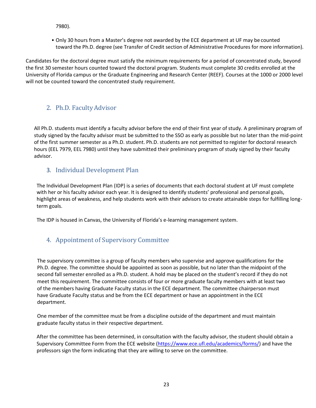7980).

• Only 30 hours from a Master's degree not awarded by the ECE department at UF may be counted toward the Ph.D. degree (see Transfer of Credit section of Administrative Procedures for more information).

Candidates for the doctoral degree must satisfy the minimum requirements for a period of concentrated study, beyond the first 30 semester hours counted toward the doctoral program. Students must complete 30 credits enrolled at the University of Florida campus or the Graduate Engineering and Research Center (REEF). Courses at the 1000 or 2000 level will not be counted toward the concentrated study requirement.

# 2. Ph.D. Faculty Advisor

All Ph.D. students must identify a faculty advisor before the end of their first year of study. A preliminary program of study signed by the faculty advisor must be submitted to the SSO as early as possible but no later than the mid-point of the first summer semester as a Ph.D. student. Ph.D. students are not permitted to register for doctoral research hours (EEL 7979, EEL 7980) until they have submitted their preliminary program of study signed by their faculty advisor.

# 3. Individual Development Plan

<span id="page-22-0"></span>The Individual Development Plan (IDP) is a series of documents that each doctoral student at UF must complete with her or his faculty advisor each year. It is designed to identify students' professional and personal goals, highlight areas of weakness, and help students work with their advisors to create attainable steps for fulfilling longterm goals.

The IDP is housed in Canvas, the University of Florida's e-learning management system.

# 4. Appointment of Supervisory Committee

The supervisory committee is a group of faculty members who supervise and approve qualifications for the Ph.D. degree. The committee should be appointed as soon as possible, but no later than the midpoint of the second fall semester enrolled as a Ph.D. student. A hold may be placed on the student's record if they do not meet this requirement. The committee consists of four or more graduate faculty members with at least two of the members having Graduate Faculty status in the ECE department. The committee chairperson must have Graduate Faculty status and be from the ECE department or have an appointment in the ECE department.

One member of the committee must be from a discipline outside of the department and must maintain graduate faculty status in their respective department.

After the committee has been determined, in consultation with the faculty advisor, the student should obtain a Supervisory Committee Form from the ECE website [\(https://www.ece.ufl.edu/academics/forms/\)](https://www.ece.ufl.edu/academics/forms/) and have the professors sign the form indicating that they are willing to serve on the committee.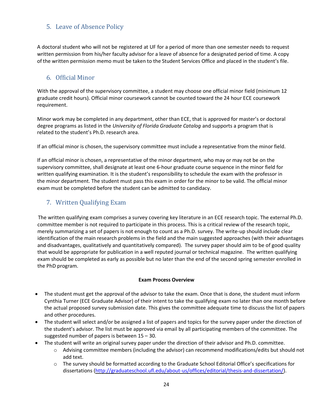# 5. Leave of Absence Policy

A doctoral student who will not be registered at UF for a period of more than one semester needs to request written permission from his/her faculty advisor for a leave of absence for a designated period of time. A copy of the written permission memo must be taken to the Student Services Office and placed in the student's file.

# 6. Official Minor

<span id="page-23-0"></span>With the approval of the supervisory committee, a student may choose one official minor field (minimum 12 graduate credit hours). Official minor coursework cannot be counted toward the 24 hour ECE coursework requirement.

Minor work may be completed in any department, other than ECE, that is approved for master's or doctoral degree programs as listed in the *University of Florida Graduate Catalog* and supports a program that is related to the student's Ph.D. research area.

If an official minor is chosen, the supervisory committee must include a representative from the minor field.

If an official minor is chosen, a representative of the minor department, who may or may not be on the supervisory committee, shall designate at least one 6‐hour graduate course sequence in the minor field for written qualifying examination. It is the student's responsibility to schedule the exam with the professor in the minor department. The student must pass this exam in order for the minor to be valid. The official minor exam must be completed before the student can be admitted to candidacy.

# 7. Written Qualifying Exam

 The written qualifying exam comprises a survey covering key literature in an ECE research topic. The external Ph.D. committee member is not required to participate in this process. This is a critical review of the research topic, merely summarizing a set of papers is not enough to count as a Ph.D. survey. The write-up should include clear identification of the main research problems in the field and the main suggested approaches (with their advantages and disadvantages, qualitatively and quantitatively compared). The survey paper should aim to be of good quality that would be appropriate for publication in a well reputed journal or technical magazine. The written qualifying exam should be completed as early as possible but no later than the end of the second spring semester enrolled in the PhD program.

#### **Exam Process Overview**

- The student must get the approval of the advisor to take the exam. Once that is done, the student must inform Cynthia Turner (ECE Graduate Advisor) of their intent to take the qualifying exam no later than one month before the actual proposed survey submission date. This gives the committee adequate time to discuss the list of papers and other procedures.
- The student will select and/or be assigned a list of papers and topics for the survey paper under the direction of the student's advisor. The list must be approved via email by all participating members of the committee. The suggested number of papers is between 15 – 30.
- The student will write an original survey paper under the direction of their advisor and Ph.D. committee.
	- o Advising committee members (including the advisor) can recommend modifications/edits but should not add text.
	- o The survey should be formatted according to the Graduate School Editorial Office's specifications for dissertations [\(http://graduateschool.ufl.edu/about-us/offices/editorial/thesis-and-dissertation/\)](http://graduateschool.ufl.edu/about-us/offices/editorial/thesis-and-dissertation/).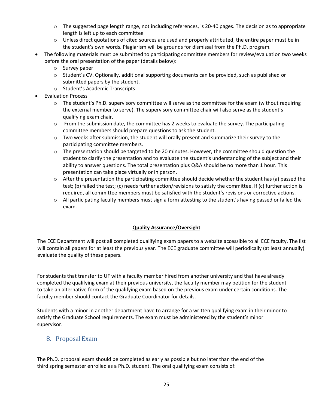- o The suggested page length range, not including references, is 20-40 pages. The decision as to appropriate length is left up to each committee
- $\circ$  Unless direct quotations of cited sources are used and properly attributed, the entire paper must be in the student's own words. Plagiarism will be grounds for dismissal from the Ph.D. program.
- The following materials must be submitted to participating committee members for review/evaluation two weeks before the oral presentation of the paper (details below):
	- o Survey paper
	- o Student's CV. Optionally, additional supporting documents can be provided, such as published or submitted papers by the student.
	- o Student's Academic Transcripts
- Evaluation Process
	- $\circ$  The student's Ph.D. supervisory committee will serve as the committee for the exam (without requiring the external member to serve). The supervisory committee chair will also serve as the student's qualifying exam chair.
	- $\circ$  From the submission date, the committee has 2 weeks to evaluate the survey. The participating committee members should prepare questions to ask the student.
	- $\circ$  Two weeks after submission, the student will orally present and summarize their survey to the participating committee members.
	- $\circ$  The presentation should be targeted to be 20 minutes. However, the committee should question the student to clarify the presentation and to evaluate the student's understanding of the subject and their ability to answer questions. The total presentation plus Q&A should be no more than 1 hour. This presentation can take place virtually or in person.
	- $\circ$  After the presentation the participating committee should decide whether the student has (a) passed the test; (b) failed the test; (c) needs further action/revisions to satisfy the committee. If (c) further action is required, all committee members must be satisfied with the student's revisions or corrective actions.
	- $\circ$  All participating faculty members must sign a form attesting to the student's having passed or failed the exam.

#### **Quality Assurance/Oversight**

 The ECE Department will post all completed qualifying exam papers to a website accessible to all ECE faculty. The list will contain all papers for at least the previous year. The ECE graduate committee will periodically (at least annually) evaluate the quality of these papers.

For students that transfer to UF with a faculty member hired from another university and that have already completed the qualifying exam at their previous university, the faculty member may petition for the student to take an alternative form of the qualifying exam based on the previous exam under certain conditions. The faculty member should contact the Graduate Coordinator for details.

Students with a minor in another department have to arrange for a written qualifying exam in their minor to satisfy the Graduate School requirements. The exam must be administered by the student's minor supervisor.

## 8. Proposal Exam

The Ph.D. proposal exam should be completed as early as possible but no later than the end of the third spring semester enrolled as a Ph.D. student. The oral qualifying exam consists of: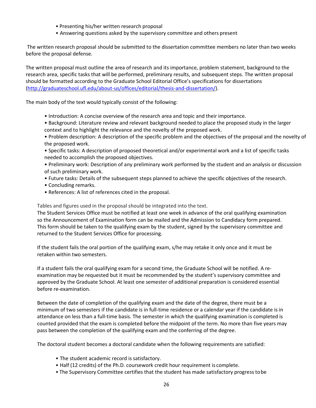- Presenting his/her written research proposal
- Answering questions asked by the supervisory committee and others present

The written research proposal should be submitted to the dissertation committee members no later than two weeks before the proposal defense.

The written proposal must outline the area of research and its importance, problem statement, background to the research area, specific tasks that will be performed, preliminary results, and subsequent steps. The written proposal should be formatted according to the Graduate School Editorial Office's specifications for dissertations [\(http://graduateschool.ufl.edu/about-us/offices/editorial/thesis-and-dissertation/\)](http://graduateschool.ufl.edu/about-us/offices/editorial/thesis-and-dissertation/).

The main body of the text would typically consist of the following:

- Introduction: A concise overview of the research area and topic and their importance.
- Background: Literature review and relevant background needed to place the proposed study in the larger context and to highlight the relevance and the novelty of the proposed work.
- Problem description: A description of the specific problem and the objectives of the proposal and the novelty of the proposed work.
- Specific tasks: A description of proposed theoretical and/or experimental work and a list of specific tasks needed to accomplish the proposed objectives.
- Preliminary work: Description of any preliminary work performed by the student and an analysis or discussion of such preliminary work.
- Future tasks: Details of the subsequent steps planned to achieve the specific objectives of the research.
- Concluding remarks.
- References: A list of references cited in the proposal.

Tables and figures used in the proposal should be integrated into the text.

The Student Services Office must be notified at least one week in advance of the oral qualifying examination so the Announcement of Examination form can be mailed and the Admission to Candidacy form prepared. This form should be taken to the qualifying exam by the student, signed by the supervisory committee and returned to the Student Services Office for processing.

If the student fails the oral portion of the qualifying exam, s/he may retake it only once and it must be retaken within two semesters.

If a student fails the oral qualifying exam for a second time, the Graduate School will be notified. A re‐ examination may be requested but it must be recommended by the student's supervisory committee and approved by the Graduate School. At least one semester of additional preparation is considered essential before re‐examination.

Between the date of completion of the qualifying exam and the date of the degree, there must be a minimum of two semesters if the candidate is in full‐time residence or a calendar year if the candidate is in attendance on less than a full‐time basis. The semester in which the qualifying examination is completed is counted provided that the exam is completed before the midpoint of the term. No more than five years may pass between the completion of the qualifying exam and the conferring of the degree.

The doctoral student becomes a doctoral candidate when the following requirements are satisfied:

- The student academic record is satisfactory.
- Half (12 credits) of the Ph.D. coursework credit hour requirement is complete.
- The Supervisory Committee certifies that the student has made satisfactory progress tobe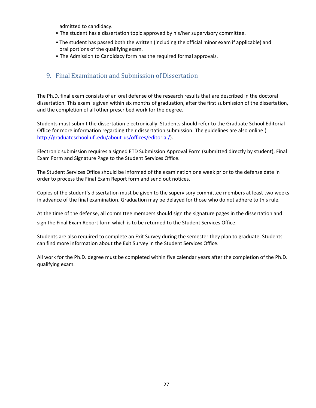admitted to candidacy.

- The student has a dissertation topic approved by his/her supervisory committee.
- The student has passed both the written (including the official minor exam if applicable) and oral portions of the qualifying exam.
- The Admission to Candidacy form has the required formal approvals.

# <span id="page-26-0"></span>9. Final Examination and Submission of Dissertation

The Ph.D. final exam consists of an oral defense of the research results that are described in the doctoral dissertation. This exam is given within six months of graduation, after the first submission of the dissertation, and the completion of all other prescribed work for the degree.

Students must submit the dissertation electronically. Students should refer to the Graduate School Editorial Office for more information regarding their dissertation submission. The guidelines are also online [\(](http://gradschool.rgp.ufl.edu/editorial/introduction.html)) [http://graduateschool.ufl.edu/about-us/offices/editorial/\)](http://graduateschool.ufl.edu/about-us/offices/editorial/).

Electronic submission requires a signed ETD Submission Approval Form (submitted directly by student), Final Exam Form and Signature Page to the Student Services Office.

The Student Services Office should be informed of the examination one week prior to the defense date in order to process the Final Exam Report form and send out notices.

Copies of the student's dissertation must be given to the supervisory committee members at least two weeks in advance of the final examination. Graduation may be delayed for those who do not adhere to this rule.

At the time of the defense, all committee members should sign the signature pages in the dissertation and sign the Final Exam Report form which is to be returned to the Student Services Office.

Students are also required to complete an Exit Survey during the semester they plan to graduate. Students can find more information about the Exit Survey in the Student Services Office.

All work for the Ph.D. degree must be completed within five calendar years after the completion of the Ph.D. qualifying exam.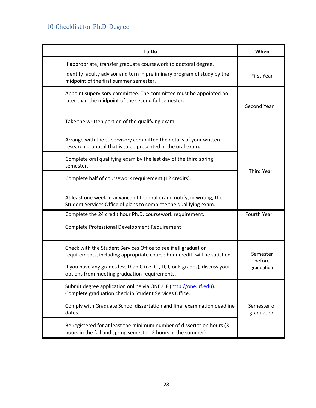# 10. Checklist for Ph.D. Degree

| To Do                                                                                                                                         | When                      |  |
|-----------------------------------------------------------------------------------------------------------------------------------------------|---------------------------|--|
| If appropriate, transfer graduate coursework to doctoral degree.                                                                              |                           |  |
| Identify faculty advisor and turn in preliminary program of study by the<br>midpoint of the first summer semester.                            | <b>First Year</b>         |  |
| Appoint supervisory committee. The committee must be appointed no<br>later than the midpoint of the second fall semester.                     | Second Year               |  |
| Take the written portion of the qualifying exam.                                                                                              |                           |  |
| Arrange with the supervisory committee the details of your written<br>research proposal that is to be presented in the oral exam.             |                           |  |
| Complete oral qualifying exam by the last day of the third spring<br>semester.                                                                | <b>Third Year</b>         |  |
| Complete half of coursework requirement (12 credits).                                                                                         |                           |  |
| At least one week in advance of the oral exam, notify, in writing, the<br>Student Services Office of plans to complete the qualifying exam.   |                           |  |
| Complete the 24 credit hour Ph.D. coursework requirement.                                                                                     | Fourth Year               |  |
| Complete Professional Development Requirement                                                                                                 |                           |  |
| Check with the Student Services Office to see if all graduation<br>requirements, including appropriate course hour credit, will be satisfied. | Semester                  |  |
| If you have any grades less than C (i.e. C-, D, I, or E grades), discuss your<br>options from meeting graduation requirements.                | before<br>graduation      |  |
| Submit degree application online via ONE.UF (http://one.uf.edu).<br>Complete graduation check in Student Services Office.                     |                           |  |
| Comply with Graduate School dissertation and final examination deadline<br>dates.                                                             | Semester of<br>graduation |  |
| Be registered for at least the minimum number of dissertation hours (3<br>hours in the fall and spring semester, 2 hours in the summer)       |                           |  |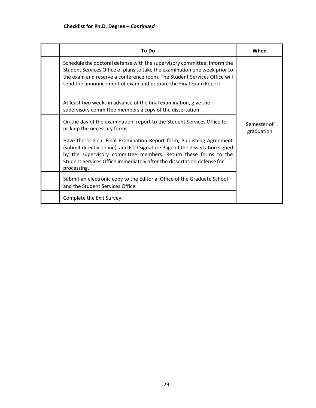| To Do                                                                                                                                                                                                                                                                                                            | When                      |
|------------------------------------------------------------------------------------------------------------------------------------------------------------------------------------------------------------------------------------------------------------------------------------------------------------------|---------------------------|
| Schedule the doctoral defense with the supervisory committee. Inform the<br>Student Services Office of plans to take the examination one week prior to<br>the exam and reserve a conference room. The Student Services Office will<br>send the announcement of exam and prepare the Final Exam Report.           |                           |
| At least two weeks in advance of the final examination, give the<br>supervisory committee members a copy of the dissertation                                                                                                                                                                                     |                           |
| On the day of the examination, report to the Student Services Office to<br>pick up the necessary forms.                                                                                                                                                                                                          | Semester of<br>graduation |
| Have the original Final Examination Report form, Publishing Agreement<br>(submit directly online), and ETD Signature Page of the dissertation signed<br>by the supervisory committee members. Return these forms to the<br>Student Services Office immediately after the dissertation defense for<br>processing. |                           |
| Submit an electronic copy to the Editorial Office of the Graduate School<br>and the Student Services Office.                                                                                                                                                                                                     |                           |
| Complete the Exit Survey.                                                                                                                                                                                                                                                                                        |                           |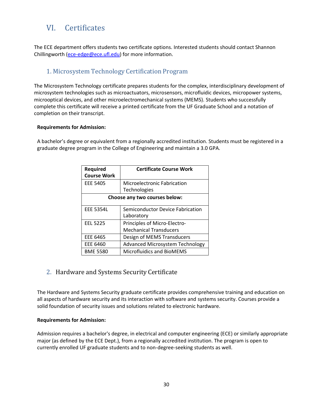# VI. Certificates

The ECE department offers students two certificate options. Interested students should contact Shannon Chillingworth [\(ece-edge@ece.ufl.edu\)](mailto:ece-edge@ece.ufl.edu) for more information.

# 1. Microsystem Technology Certification Program

<span id="page-29-0"></span>The Microsystem Technology certificate prepares students for the complex, interdisciplinary development of microsystem technologies such as microactuators, microsensors, microfluidic devices, micropower systems, microoptical devices, and other microelectromechanical systems (MEMS). Students who successfully complete this certificate will receive a printed certificate from the UF Graduate School and a notation of completion on their transcript.

#### **Requirements for Admission:**

A bachelor's degree or equivalent from a regionally accredited institution. Students must be registered in a graduate degree program in the College of Engineering and maintain a 3.0 GPA.

| Required<br><b>Course Work</b> | <b>Certificate Course Work</b>                 |  |
|--------------------------------|------------------------------------------------|--|
| EEE 5405                       | <b>Microelectronic Fabrication</b>             |  |
|                                | Technologies                                   |  |
| Choose any two courses below:  |                                                |  |
| <b>EEE 5354L</b>               | Semiconductor Device Fabrication<br>Laboratory |  |
| <b>EEL 5225</b>                | Principles of Micro-Electro-                   |  |
|                                | <b>Mechanical Transducers</b>                  |  |
| EEE 6465                       | Design of MEMS Transducers                     |  |
| EEE 6460                       | <b>Advanced Microsystem Technology</b>         |  |
| <b>BME 5580</b>                | <b>Microfluidics and BioMEMS</b>               |  |

# <span id="page-29-1"></span>2. Hardware and Systems Security Certificate

The Hardware and Systems Security graduate certificate provides comprehensive training and education on all aspects of hardware security and its interaction with software and systems security. Courses provide a solid foundation of security issues and solutions related to electronic hardware.

#### **Requirements for Admission:**

Admission requires a bachelor's degree, in electrical and computer engineering (ECE) or similarly appropriate major (as defined by the ECE Dept.), from a regionally accredited institution. The program is open to currently enrolled UF graduate students and to non-degree-seeking students as well.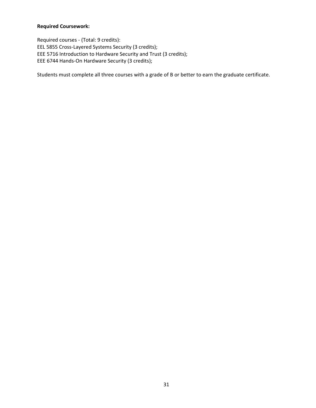## **Required Coursework:**

Required courses - (Total: 9 credits): EEL 5855 Cross-Layered Systems Security (3 credits); EEE 5716 Introduction to Hardware Security and Trust (3 credits); EEE 6744 Hands-On Hardware Security (3 credits);

Students must complete all three courses with a grade of B or better to earn the graduate certificate.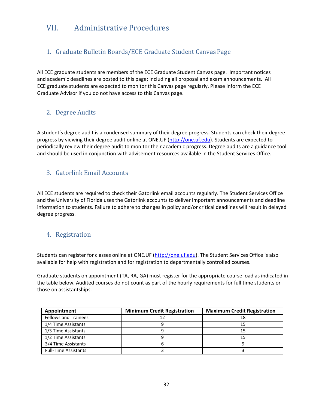# VII. Administrative Procedures

# 1. Graduate Bulletin Boards/ECE Graduate Student Canvas Page

All ECE graduate students are members of the ECE Graduate Student Canvas page. Important notices and academic deadlines are posted to this page; including all proposal and exam announcements. All ECE graduate students are expected to monitor this Canvas page regularly. Please inform the ECE Graduate Advisor if you do not have access to this Canvas page.

# 2. Degree Audits

A student's degree audit is a condensed summary of their degree progress. Students can check their degree progress by viewing their degree audit online at ONE.UF (http://one.uf.edu). Students are expected to periodically review their degree audit to monitor their academic progress. Degree audits are a guidance tool and should be used in conjunction with advisement resources available in the Student Services Office.

# 3. Gatorlink Email Accounts

All ECE students are required to check their Gatorlink email accounts regularly. The Student Services Office and the University of Florida uses the Gatorlink accounts to deliver important announcements and deadline information to students. Failure to adhere to changes in policy and/or critical deadlines will result in delayed degree progress.

# 4. Registration

Students can register for classes online at ONE.UF (http://one.uf.edu). The Student Services Office is also available for help with registration and for registration to departmentally controlled courses.

Graduate students on appointment (TA, RA, GA) must register for the appropriate course load as indicated in the table below. Audited courses do not count as part of the hourly requirements for full time students or those on assistantships.

| Appointment                 | <b>Minimum Credit Registration</b> | <b>Maximum Credit Registration</b> |
|-----------------------------|------------------------------------|------------------------------------|
| <b>Fellows and Trainees</b> | 17                                 | 18                                 |
| 1/4 Time Assistants         |                                    | 15                                 |
| 1/3 Time Assistants         |                                    | 15                                 |
| 1/2 Time Assistants         |                                    | 15                                 |
| 3/4 Time Assistants         |                                    |                                    |
| <b>Full-Time Assistants</b> |                                    |                                    |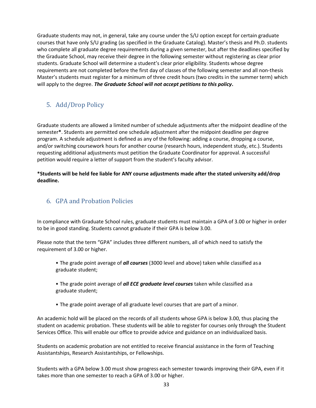Graduate students may not, in general, take any course under the S/U option except for certain graduate courses that have only S/U grading (as specified in the Graduate Catalog). Master's thesis and Ph.D. students who complete all graduate degree requirements during a given semester, but after the deadlines specified by the Graduate School, may receive their degree in the following semester without registering as clear prior students. Graduate School will determine a student's clear prior eligibility. Students whose degree requirements are not completed before the first day of classes of the following semester and all non-thesis Master's students must register for a minimum of three credit hours (two credits in the summer term) which will apply to the degree. *The Graduate School will not accept petitions to this policy***.**

# 5. Add/Drop Policy

Graduate students are allowed a limited number of schedule adjustments after the midpoint deadline of the semester**\***. Students are permitted one schedule adjustment after the midpoint deadline per degree program. A schedule adjustment is defined as any of the following: adding a course, dropping a course, and/or switching coursework hours for another course (research hours, independent study, etc.). Students requesting additional adjustments must petition the Graduate Coordinator for approval. A successful petition would require a letter of support from the student's faculty advisor.

**\*Students will be held fee liable for ANY course adjustments made after the stated university add/drop deadline.**

# 6. GPA and Probation Policies

In compliance with Graduate School rules, graduate students must maintain a GPA of 3.00 or higher in order to be in good standing. Students cannot graduate if their GPA is below 3.00.

Please note that the term "GPA" includes three different numbers, all of which need to satisfy the requirement of 3.00 or higher.

- The grade point average of *all courses* (3000 level and above) taken while classified asa graduate student;
- The grade point average of *all ECE graduate level courses* taken while classified asa graduate student;
- The grade point average of all graduate level courses that are part of a minor.

An academic hold will be placed on the records of all students whose GPA is below 3.00, thus placing the student on academic probation. These students will be able to register for courses only through the Student Services Office. This will enable our office to provide advice and guidance on an individualized basis.

Students on academic probation are not entitled to receive financial assistance in the form of Teaching Assistantships, Research Assistantships, or Fellowships.

Students with a GPA below 3.00 must show progress each semester towards improving their GPA, even if it takes more than one semester to reach a GPA of 3.00 or higher.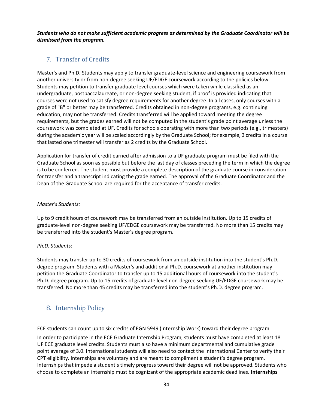*Students who do not make sufficient academic progress as determined by the Graduate Coordinator will be dismissed from the program.*

# 7. Transfer of Credits

Master's and Ph.D. Students may apply to transfer graduate‐level science and engineering coursework from another university or from non-degree seeking UF/EDGE coursework according to the policies below. Students may petition to transfer graduate level courses which were taken while classified as an undergraduate, postbaccalaureate, or non‐degree seeking student, if proof is provided indicating that courses were not used to satisfy degree requirements for another degree. In all cases, only courses with a grade of "B" or better may be transferred. Credits obtained in non‐degree programs, e.g. continuing education, may not be transferred. Credits transferred will be applied toward meeting the degree requirements, but the grades earned will not be computed in the student's grade point average unless the coursework was completed at UF. Credits for schools operating with more than two periods (e.g., trimesters) during the academic year will be scaled accordingly by the Graduate School; for example, 3 credits in a course that lasted one trimester will transfer as 2 credits by the Graduate School.

Application for transfer of credit earned after admission to a UF graduate program must be filed with the Graduate School as soon as possible but before the last day of classes preceding the term in which the degree is to be conferred. The student must provide a complete description of the graduate course in consideration for transfer and a transcript indicating the grade earned. The approval of the Graduate Coordinator and the Dean of the Graduate School are required for the acceptance of transfer credits.

#### *Master's Students:*

Up to 9 credit hours of coursework may be transferred from an outside institution. Up to 15 credits of graduate‐level non‐degree seeking UF/EDGE coursework may be transferred. No more than 15 credits may be transferred into the student's Master's degree program.

#### *Ph.D. Students:*

Students may transfer up to 30 credits of coursework from an outside institution into the student's Ph.D. degree program. Students with a Master's and additional Ph.D. coursework at another institution may petition the Graduate Coordinator to transfer up to 15 additional hours of coursework into the student's Ph.D. degree program. Up to 15 credits of graduate level non-degree seeking UF/EDGE coursework may be transferred. No more than 45 credits may be transferred into the student's Ph.D. degree program.

# 8. Internship Policy

ECE students can count up to six credits of EGN 5949 (Internship Work) toward their degree program.

In order to participate in the ECE Graduate Internship Program, students must have completed at least 18 UF ECE graduate level credits. Students must also have a minimum departmental and cumulative grade point average of 3.0. International students will also need to contact the International Center to verify their CPT eligibility. Internships are voluntary and are meant to compliment a student's degree program. Internships that impede a student's timely progress toward their degree will not be approved. Students who choose to complete an internship must be cognizant of the appropriate academic deadlines. **Internships**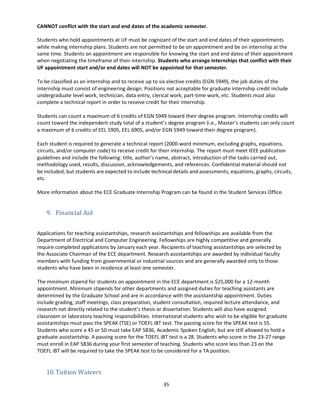#### **CANNOT conflict with the start and end dates of the academic semester.**

Students who hold appointments at UF must be cognizant of the start and end dates of their appointments while making internship plans. Students are not permitted to be on appointment and be on internship at the same time. Students on appointment are responsible for knowing the start and end dates of their appointment when negotiating the timeframe of their internship. **Students who arrange internships that conflict with their UF appointment start and/or end dates will NOT be appointed for that semester.**

To be classified as an internship and to receive up to six elective credits (EGN 5949), the job duties of the internship must consist of engineering design. Positions not acceptable for graduate internship credit include undergraduate level work, technician, data entry, clerical work, part‐time work, etc. Students must also complete a technical report in order to receive credit for their internship.

Students can count a maximum of 6 credits of EGN 5949 toward their degree program. Internship credits will count toward the independent study total of a student's degree program (i.e., Master's students can only count a maximum of 6 credits of EEL 5905, EEL 6905, and/or EGN 5949 toward their degree program).

Each student is required to generate a technical report (2000‐word minimum, excluding graphs, equations, circuits, and/or computer code) to receive credit for their internship. The report must meet IEEE publication guidelines and include the following: title, author's name, abstract, introduction of the tasks carried out, methodology used, results, discussion, acknowledgements, and references. Confidential material should not be included, but students are expected to include technical details and assessments, equations, graphs, circuits, etc.

More information about the ECE Graduate Internship Program can be found in the Student Services Office.

# 9. Financial Aid

Applications for teaching assistantships, research assistantships and fellowships are available from the Department of Electrical and Computer Engineering. Fellowships are highly competitive and generally require completed applications by January each year. Recipients of teaching assistantships are selected by the Associate Chairman of the ECE department. Research assistantships are awarded by individual faculty members with funding from governmental or industrial sources and are generally awarded only to those students who have been in residence at least one semester.

The minimum stipend for students on appointment in the ECE department is \$25,000 for a 12‐month appointment. Minimum stipends for other departments and assigned duties for teaching assistants are determined by the Graduate School and are in accordance with the assistantship appointment. Duties include grading, staff meetings, class preparation, student consultation, required lecture attendance, and research not directly related to the student's thesis or dissertation. Students will also have assigned classroom or laboratory teaching responsibilities. International students who wish to be eligible for graduate assistantships must pass the SPEAK (TSE) or TOEFL iBT test. The passing score for the SPEAK test is 55. Students who score a 45 or 50 must take EAP 5836, Academic Spoken English, but are still allowed to hold a graduate assistantship. A passing score for the TOEFL iBT test is a 28. Students who score in the 23‐27 range must enroll in EAP 5836 during your first semester of teaching. Students who score less than 23 on the TOEFL iBT will be required to take the SPEAK test to be considered for a TA position.

# 10.Tuition Waivers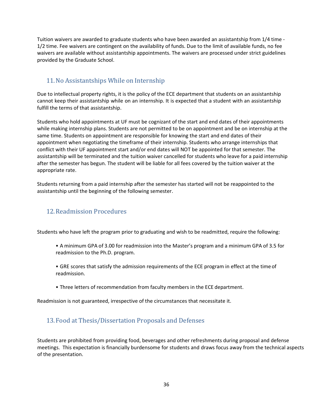Tuition waivers are awarded to graduate students who have been awarded an assistantship from 1/4 time ‐ 1/2 time. Fee waivers are contingent on the availability of funds. Due to the limit of available funds, no fee waivers are available without assistantship appointments. The waivers are processed under strict guidelines provided by the Graduate School.

# 11.No Assistantships While on Internship

Due to intellectual property rights, it is the policy of the ECE department that students on an assistantship cannot keep their assistantship while on an internship. It is expected that a student with an assistantship fulfill the terms of that assistantship.

Students who hold appointments at UF must be cognizant of the start and end dates of their appointments while making internship plans. Students are not permitted to be on appointment and be on internship at the same time. Students on appointment are responsible for knowing the start and end dates of their appointment when negotiating the timeframe of their internship. Students who arrange internships that conflict with their UF appointment start and/or end dates will NOT be appointed for that semester. The assistantship will be terminated and the tuition waiver cancelled for students who leave for a paid internship after the semester has begun. The student will be liable for all fees covered by the tuition waiver at the appropriate rate.

Students returning from a paid internship after the semester has started will not be reappointed to the assistantship until the beginning of the following semester.

# 12.Readmission Procedures

Students who have left the program prior to graduating and wish to be readmitted, require the following:

- A minimum GPA of 3.00 for readmission into the Master's program and a minimum GPA of 3.5 for readmission to the Ph.D. program.
- GRE scores that satisfy the admission requirements of the ECE program in effect at the time of readmission.
- Three letters of recommendation from faculty members in the ECE department.

Readmission is not guaranteed, irrespective of the circumstances that necessitate it.

## 13. Food at Thesis/Dissertation Proposals and Defenses

Students are prohibited from providing food, beverages and other refreshments during proposal and defense meetings. This expectation is financially burdensome for students and draws focus away from the technical aspects of the presentation.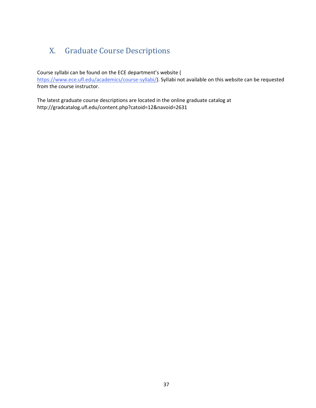# <span id="page-36-0"></span>X. Graduate Course Descriptions

Course syllabi can be found on the ECE department's website [\(](https://www.ece.ufl.edu/academics/course-syllabi/)

[https://www.ece.ufl.edu/academics/course-syllabi/\). S](https://www.ece.ufl.edu/academics/course-syllabi/)yllabi not available on this website can be requested from the course instructor.

The latest graduate course descriptions are located in the online graduate catalog at http://gradcatalog.ufl.edu/content.php?catoid=12&navoid=2631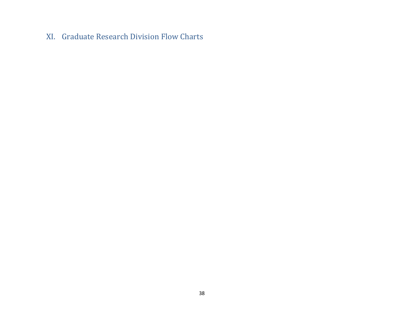# XI. Graduate Research Division Flow Charts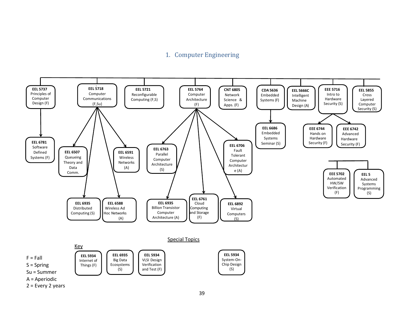# 1. Computer Engineering

<span id="page-38-0"></span>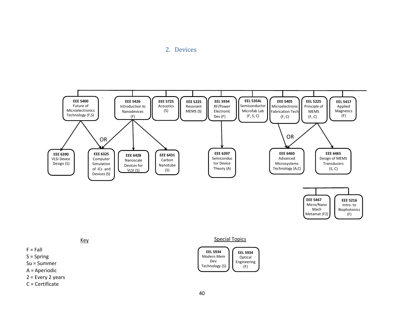<span id="page-39-0"></span>2. Devices







 $F = Fall$ 

S = Spring

- Su = Summer
- A = Aperiodic
- 2 = Every 2 years
- C = Certificate

Key Special Topics

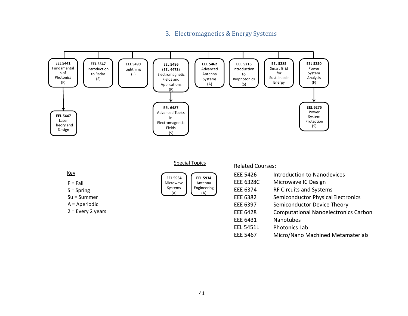## <span id="page-40-0"></span>3. Electromagnetics & Energy Systems



EEE 5467 Micro/Nano Machined Metamaterials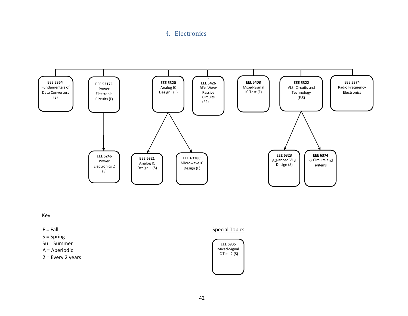## <span id="page-41-0"></span>4. Electronics



#### Key

#### $F = Fall$

- S = Spring
- Su = Summer
- A = Aperiodic

2 = Every 2 years

## Special Topics

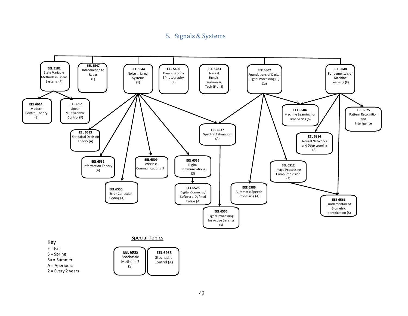## 5. Signals & Systems